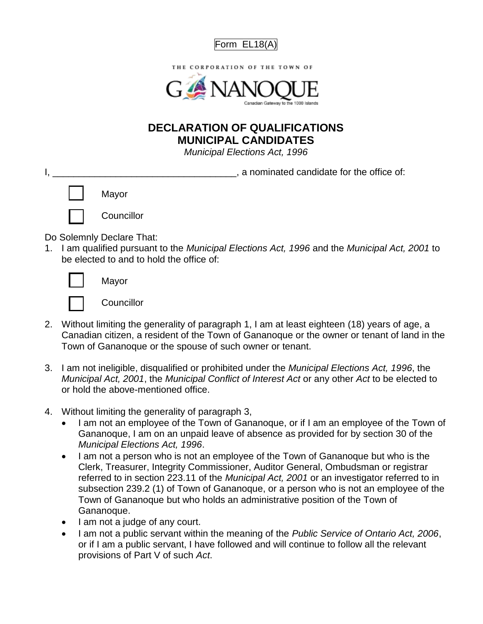



## **DECLARATION OF QUALIFICATIONS MUNICIPAL CANDIDATES**

*Municipal Elections Act, 1996*

|              |            | a nominated candidate for the office of: |  |
|--------------|------------|------------------------------------------|--|
| $\mathbf{1}$ | Mayor      |                                          |  |
|              | Councillor |                                          |  |
|              |            |                                          |  |

Do Solemnly Declare That:

1. I am qualified pursuant to the *Municipal Elections Act, 1996* and the *Municipal Act, 2001* to be elected to and to hold the office of:

Mayor



- 2. Without limiting the generality of paragraph 1, I am at least eighteen (18) years of age, a Canadian citizen, a resident of the Town of Gananoque or the owner or tenant of land in the Town of Gananoque or the spouse of such owner or tenant.
- 3. I am not ineligible, disqualified or prohibited under the *Municipal Elections Act, 1996*, the *Municipal Act, 2001*, the *Municipal Conflict of Interest Act* or any other *Act* to be elected to or hold the above-mentioned office.
- 4. Without limiting the generality of paragraph 3,
	- I am not an employee of the Town of Gananoque, or if I am an employee of the Town of Gananoque, I am on an unpaid leave of absence as provided for by section 30 of the *Municipal Elections Act, 1996*.
	- I am not a person who is not an employee of the Town of Gananoque but who is the Clerk, Treasurer, Integrity Commissioner, Auditor General, Ombudsman or registrar referred to in section 223.11 of the *Municipal Act, 2001* or an investigator referred to in subsection 239.2 (1) of Town of Gananoque, or a person who is not an employee of the Town of Gananoque but who holds an administrative position of the Town of Gananoque.
	- I am not a judge of any court.
	- I am not a public servant within the meaning of the *Public Service of Ontario Act, 2006*, or if I am a public servant, I have followed and will continue to follow all the relevant provisions of Part V of such *Act*.